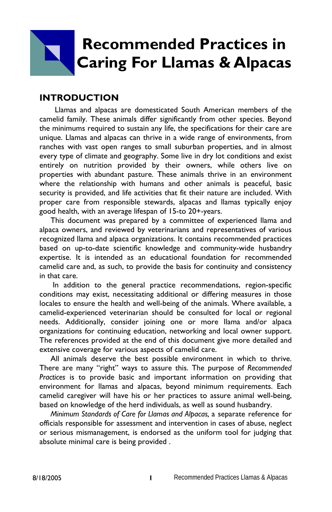# **Recommended Practices in Caring For Llamas & Alpacas**

#### **INTRODUCTION**

Llamas and alpacas are domesticated South American members of the camelid family. These animals differ significantly from other species. Beyond the minimums required to sustain any life, the specifications for their care are unique. Llamas and alpacas can thrive in a wide range of environments, from ranches with vast open ranges to small suburban properties, and in almost every type of climate and geography. Some live in dry lot conditions and exist entirely on nutrition provided by their owners, while others live on properties with abundant pasture. These animals thrive in an environment where the relationship with humans and other animals is peaceful, basic security is provided, and life activities that fit their nature are included. With proper care from responsible stewards, alpacas and llamas typically enjoy good health, with an average lifespan of 15-to 20+-years.

 This document was prepared by a committee of experienced llama and alpaca owners, and reviewed by veterinarians and representatives of various recognized llama and alpaca organizations. It contains recommended practices based on up-to-date scientific knowledge and community-wide husbandry expertise. It is intended as an educational foundation for recommended camelid care and, as such, to provide the basis for continuity and consistency in that care.

 In addition to the general practice recommendations, region-specific conditions may exist, necessitating additional or differing measures in those locales to ensure the health and well-being of the animals. Where available, a camelid-experienced veterinarian should be consulted for local or regional needs. Additionally, consider joining one or more llama and/or alpaca organizations for continuing education, networking and local owner support. The references provided at the end of this document give more detailed and extensive coverage for various aspects of camelid care.

 All animals deserve the best possible environment in which to thrive. There are many "right" ways to assure this. The purpose of *Recommended Practices* is to provide basic and important information on providing that environment for llamas and alpacas, beyond minimum requirements. Each camelid caregiver will have his or her practices to assure animal well-being, based on knowledge of the herd individuals, as well as sound husbandry.

 *Minimum Standards of Care for Llamas and Alpacas,* a separate reference for officials responsible for assessment and intervention in cases of abuse, neglect or serious mismanagement, is endorsed as the uniform tool for judging that absolute minimal care is being provided .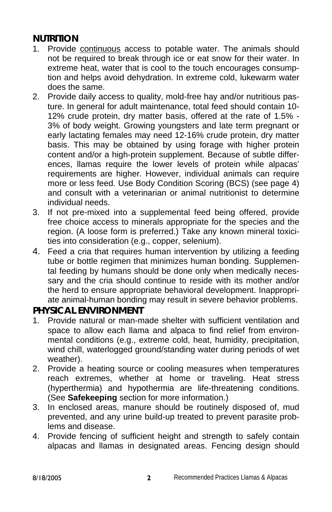# **NUTRITION**

- 1. Provide continuous access to potable water. The animals should not be required to break through ice or eat snow for their water. In extreme heat, water that is cool to the touch encourages consumption and helps avoid dehydration. In extreme cold, lukewarm water does the same.
- 2. Provide daily access to quality, mold-free hay and/or nutritious pasture. In general for adult maintenance, total feed should contain 10- 12% crude protein, dry matter basis, offered at the rate of 1.5% - 3% of body weight. Growing youngsters and late term pregnant or early lactating females may need 12-16% crude protein, dry matter basis. This may be obtained by using forage with higher protein content and/or a high-protein supplement. Because of subtle differences, llamas require the lower levels of protein while alpacas' requirements are higher. However, individual animals can require more or less feed. Use Body Condition Scoring (BCS) (see page 4) and consult with a veterinarian or animal nutritionist to determine individual needs.
- 3. If not pre-mixed into a supplemental feed being offered, provide free choice access to minerals appropriate for the species and the region. (A loose form is preferred.) Take any known mineral toxicities into consideration (e.g., copper, selenium).
- 4. Feed a cria that requires human intervention by utilizing a feeding tube or bottle regimen that minimizes human bonding. Supplemental feeding by humans should be done only when medically necessary and the cria should continue to reside with its mother and/or the herd to ensure appropriate behavioral development. Inappropriate animal-human bonding may result in severe behavior problems.

# **PHYSICAL ENVIRONMENT**

- 1. Provide natural or man-made shelter with sufficient ventilation and space to allow each llama and alpaca to find relief from environmental conditions (e.g., extreme cold, heat, humidity, precipitation, wind chill, waterlogged ground/standing water during periods of wet weather).
- 2. Provide a heating source or cooling measures when temperatures reach extremes, whether at home or traveling. Heat stress (hyperthermia) and hypothermia are life-threatening conditions. (See **Safekeeping** section for more information.)
- 3. In enclosed areas, manure should be routinely disposed of, mud prevented, and any urine build-up treated to prevent parasite problems and disease.
- 4. Provide fencing of sufficient height and strength to safely contain alpacas and llamas in designated areas. Fencing design should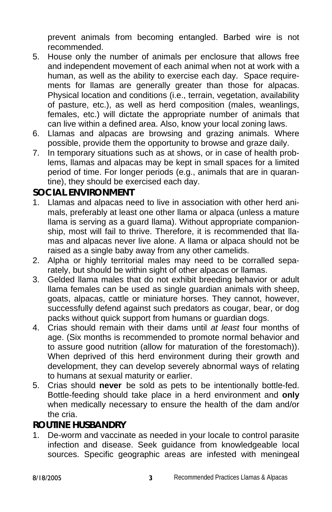prevent animals from becoming entangled. Barbed wire is not recommended.

- 5. House only the number of animals per enclosure that allows free and independent movement of each animal when not at work with a human, as well as the ability to exercise each day. Space requirements for llamas are generally greater than those for alpacas. Physical location and conditions (i.e., terrain, vegetation, availability of pasture, etc.), as well as herd composition (males, weanlings, females, etc.) will dictate the appropriate number of animals that can live within a defined area. Also, know your local zoning laws.
- 6. Llamas and alpacas are browsing and grazing animals. Where possible, provide them the opportunity to browse and graze daily.
- 7. In temporary situations such as at shows, or in case of health problems, llamas and alpacas may be kept in small spaces for a limited period of time. For longer periods (e.g., animals that are in quarantine), they should be exercised each day.

## **SOCIAL ENVIRONMENT**

- 1. Llamas and alpacas need to live in association with other herd animals, preferably at least one other llama or alpaca (unless a mature llama is serving as a guard llama). Without appropriate companionship, most will fail to thrive. Therefore, it is recommended that llamas and alpacas never live alone. A llama or alpaca should not be raised as a single baby away from any other camelids.
- 2. Alpha or highly territorial males may need to be corralled separately, but should be within sight of other alpacas or llamas.
- 3. Gelded llama males that do not exhibit breeding behavior or adult llama females can be used as single guardian animals with sheep, goats, alpacas, cattle or miniature horses. They cannot, however, successfully defend against such predators as cougar, bear, or dog packs without quick support from humans or guardian dogs.
- 4. Crias should remain with their dams until *at least* four months of age. (Six months is recommended to promote normal behavior and to assure good nutrition (allow for maturation of the forestomach)). When deprived of this herd environment during their growth and development, they can develop severely abnormal ways of relating to humans at sexual maturity or earlier.
- 5. Crias should **never** be sold as pets to be intentionally bottle-fed. Bottle-feeding should take place in a herd environment and **only** when medically necessary to ensure the health of the dam and/or the cria.

# **ROUTINE HUSBANDRY**

1. De-worm and vaccinate as needed in your locale to control parasite infection and disease. Seek guidance from knowledgeable local sources. Specific geographic areas are infested with meningeal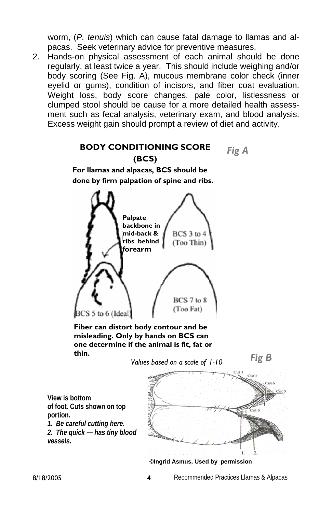worm, (*P. tenuis*) which can cause fatal damage to llamas and alpacas. Seek veterinary advice for preventive measures.

2. Hands-on physical assessment of each animal should be done regularly, at least twice a year. This should include weighing and/or body scoring (See Fig. A), mucous membrane color check (inner eyelid or gums), condition of incisors, and fiber coat evaluation. Weight loss, body score changes, pale color, listlessness or clumped stool should be cause for a more detailed health assessment such as fecal analysis, veterinary exam, and blood analysis. Excess weight gain should prompt a review of diet and activity.

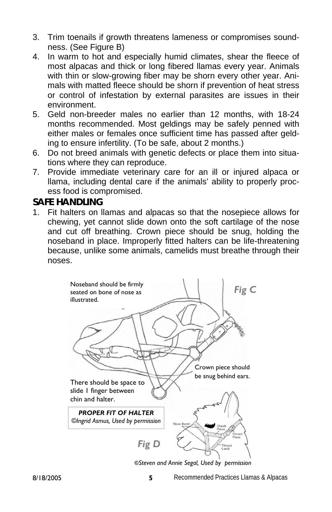- 3. Trim toenails if growth threatens lameness or compromises soundness. (See Figure B)
- 4. In warm to hot and especially humid climates, shear the fleece of most alpacas and thick or long fibered llamas every year. Animals with thin or slow-growing fiber may be shorn every other year. Animals with matted fleece should be shorn if prevention of heat stress or control of infestation by external parasites are issues in their environment.
- 5. Geld non-breeder males no earlier than 12 months, with 18-24 months recommended. Most geldings may be safely penned with either males or females once sufficient time has passed after gelding to ensure infertility. (To be safe, about 2 months.)
- 6. Do not breed animals with genetic defects or place them into situations where they can reproduce.
- 7. Provide immediate veterinary care for an ill or injured alpaca or llama, including dental care if the animals' ability to properly process food is compromised.

# **SAFE HANDLING**

1. Fit halters on llamas and alpacas so that the nosepiece allows for chewing, yet cannot slide down onto the soft cartilage of the nose and cut off breathing. Crown piece should be snug, holding the noseband in place. Improperly fitted halters can be life-threatening because, unlike some animals, camelids must breathe through their noses.

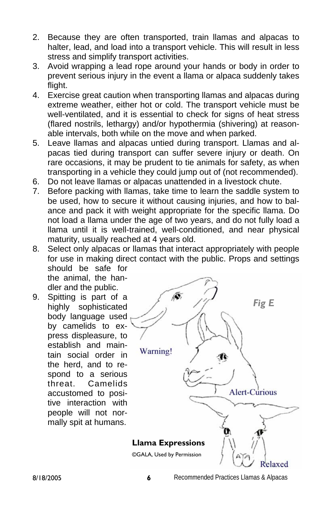- 2. Because they are often transported, train llamas and alpacas to halter, lead, and load into a transport vehicle. This will result in less stress and simplify transport activities.
- 3. Avoid wrapping a lead rope around your hands or body in order to prevent serious injury in the event a llama or alpaca suddenly takes flight.
- 4. Exercise great caution when transporting llamas and alpacas during extreme weather, either hot or cold. The transport vehicle must be well-ventilated, and it is essential to check for signs of heat stress (flared nostrils, lethargy) and/or hypothermia (shivering) at reasonable intervals, both while on the move and when parked.
- 5. Leave llamas and alpacas untied during transport. Llamas and alpacas tied during transport can suffer severe injury or death. On rare occasions, it may be prudent to tie animals for safety, as when transporting in a vehicle they could jump out of (not recommended).
- 6. Do not leave llamas or alpacas unattended in a livestock chute.
- 7. Before packing with llamas, take time to learn the saddle system to be used, how to secure it without causing injuries, and how to balance and pack it with weight appropriate for the specific llama. Do not load a llama under the age of two years, and do not fully load a llama until it is well-trained, well-conditioned, and near physical maturity, usually reached at 4 years old.
- 8. Select only alpacas or llamas that interact appropriately with people for use in making direct contact with the public. Props and settings should be safe for the animal, the handler and the public.
- 9. Spitting is part of a highly sophisticated body language used by camelids to express displeasure, to establish and maintain social order in the herd, and to respond to a serious threat. Camelids accustomed to positive interaction with people will not normally spit at humans.



8/18/2005 **6** Recommended Practices Llamas & Alpacas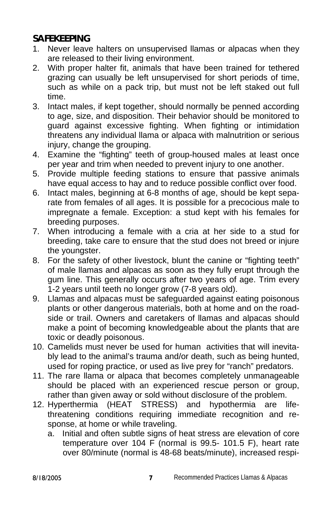# **SAFEKEEPING**

- 1. Never leave halters on unsupervised llamas or alpacas when they are released to their living environment.
- 2. With proper halter fit, animals that have been trained for tethered grazing can usually be left unsupervised for short periods of time, such as while on a pack trip, but must not be left staked out full time.
- 3. Intact males, if kept together, should normally be penned according to age, size, and disposition. Their behavior should be monitored to guard against excessive fighting. When fighting or intimidation threatens any individual llama or alpaca with malnutrition or serious injury, change the grouping.
- 4. Examine the "fighting" teeth of group-housed males at least once per year and trim when needed to prevent injury to one another.
- 5. Provide multiple feeding stations to ensure that passive animals have equal access to hay and to reduce possible conflict over food.
- 6. Intact males, beginning at 6-8 months of age, should be kept separate from females of all ages. It is possible for a precocious male to impregnate a female. Exception: a stud kept with his females for breeding purposes.
- 7. When introducing a female with a cria at her side to a stud for breeding, take care to ensure that the stud does not breed or injure the youngster.
- 8. For the safety of other livestock, blunt the canine or "fighting teeth" of male llamas and alpacas as soon as they fully erupt through the gum line. This generally occurs after two years of age. Trim every 1-2 years until teeth no longer grow (7-8 years old).
- 9. Llamas and alpacas must be safeguarded against eating poisonous plants or other dangerous materials, both at home and on the roadside or trail. Owners and caretakers of llamas and alpacas should make a point of becoming knowledgeable about the plants that are toxic or deadly poisonous.
- 10. Camelids must never be used for human activities that will inevitably lead to the animal's trauma and/or death, such as being hunted, used for roping practice, or used as live prey for "ranch" predators.
- 11. The rare llama or alpaca that becomes completely unmanageable should be placed with an experienced rescue person or group, rather than given away or sold without disclosure of the problem.
- 12. Hyperthermia (HEAT STRESS) and hypothermia are lifethreatening conditions requiring immediate recognition and response, at home or while traveling.
	- a. Initial and often subtle signs of heat stress are elevation of core temperature over 104 F (normal is 99.5- 101.5 F), heart rate over 80/minute (normal is 48-68 beats/minute), increased respi-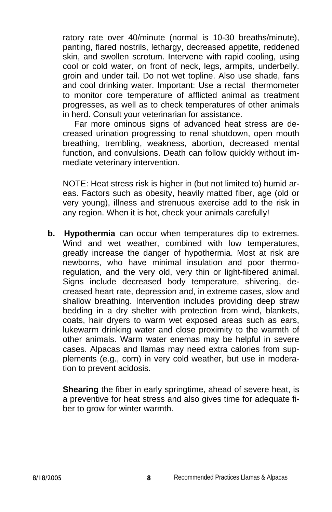ratory rate over 40/minute (normal is 10-30 breaths/minute), panting, flared nostrils, lethargy, decreased appetite, reddened skin, and swollen scrotum. Intervene with rapid cooling, using cool or cold water, on front of neck, legs, armpits, underbelly. groin and under tail. Do not wet topline. Also use shade, fans and cool drinking water. Important: Use a rectal thermometer to monitor core temperature of afflicted animal as treatment progresses, as well as to check temperatures of other animals in herd. Consult your veterinarian for assistance.

 Far more ominous signs of advanced heat stress are decreased urination progressing to renal shutdown, open mouth breathing, trembling, weakness, abortion, decreased mental function, and convulsions. Death can follow quickly without immediate veterinary intervention.

NOTE: Heat stress risk is higher in (but not limited to) humid areas. Factors such as obesity, heavily matted fiber, age (old or very young), illness and strenuous exercise add to the risk in any region. When it is hot, check your animals carefully!

**b. Hypothermia** can occur when temperatures dip to extremes. Wind and wet weather, combined with low temperatures, greatly increase the danger of hypothermia. Most at risk are newborns, who have minimal insulation and poor thermoregulation, and the very old, very thin or light-fibered animal. Signs include decreased body temperature, shivering, decreased heart rate, depression and, in extreme cases, slow and shallow breathing. Intervention includes providing deep straw bedding in a dry shelter with protection from wind, blankets, coats, hair dryers to warm wet exposed areas such as ears, lukewarm drinking water and close proximity to the warmth of other animals. Warm water enemas may be helpful in severe cases. Alpacas and llamas may need extra calories from supplements (e.g., corn) in very cold weather, but use in moderation to prevent acidosis.

**Shearing** the fiber in early springtime, ahead of severe heat, is a preventive for heat stress and also gives time for adequate fiber to grow for winter warmth.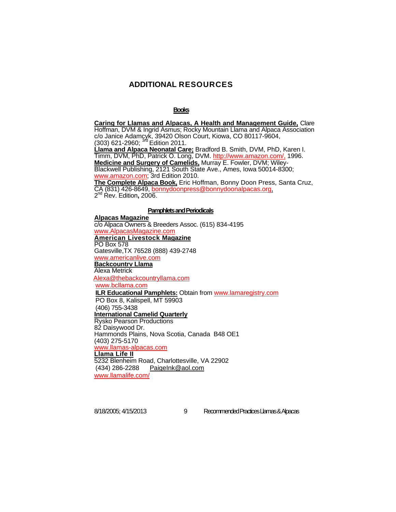# **ADDITIONAL RESOURCES**

#### **Books**

**Caring for Llamas and Alpacas, A Health and Management Guide,** Clare Hoffman, DVM & Ingrid Asmus; Rocky Mountain Llama and Alpaca Association c/o Janice Adamcyk, 39420 Olson Court, Kiowa, CO 80117-9604, (303) 621-2960; 3rd Edition 2011. **Llama and Alpaca Neonatal Care;** Bradford B. Smith, DVM, PhD, Karen I. Timm, DVM, PhD, Patrick O. Long, DVM. http://www.amazon.com/, 1996. **Medicine and Surgery of Camelids,** Murray E. Fowler, DVM; Wiley-Blackwell Publishing, 2121 South State Ave., Ames, Iowa 50014-8300; www.amazon.com; 3rd Edition 2010. **The Complete Alpaca Book,** Eric Hoffman, Bonny Doon Press, Santa Cruz, CA (831) 426-8649, bonnydoonpress@bonnydoonalpacas.org,

2nd Rev. Edition**,** 2006.

#### **Pamphlets and Periodicals**

**Alpacas Magazine** c/o Alpaca Owners & Breeders Assoc. (615) 834-4195 www.AlpacasMagazine.com **American Livestock Magazine** PO Box 578 Gatesville,TX 76528 (888) 439-2748 www.americanlive.com **Backcountrv Llama** Alexa Metrick Alexa@thebackcountryllama.com www.bcllama.com **ILR Educational Pamphlets:** Obtain from www.lamaregistry.com PO Box 8, Kalispell, MT 59903 (406) 755-3438 **International Camelid Quarterly** Rysko Pearson Productions 82 Daisywood Dr. Hammonds Plains, Nova Scotia, Canada B48 OE1 (403) 275-5170 www.llamas-alpacas.com **Llama Life II** 5232 Blenheim Road, Charlottesville, VA 22902 (434) 286-2288 PaigeInk@aol.com www.llamalife.com/

8/18/2005; 4/15/2013 9 Recommended Practices Llamas & Alpacas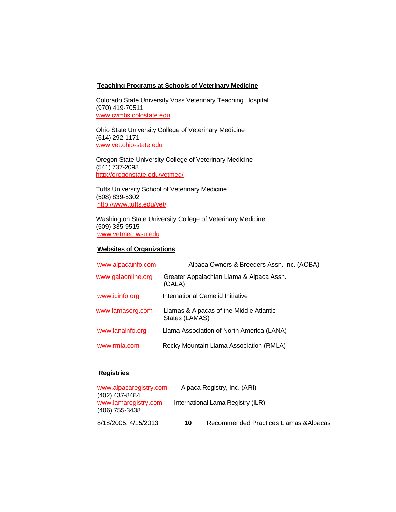#### **Teachinq Programs at Schools of Veterinary Medicine**

Colorado State University Voss Veterinary Teaching Hospital (970) 419-70511 www.cvmbs.colostate.edu

Ohio State University College of Veterinary Medicine (614) 292-1171 www.vet.ohio-state.edu

Oregon State University College of Veterinary Medicine (541) 737-2098 http://oregonstate.edu/vetmed/

Tufts University School of Veterinary Medicine (508) 839-5302 http://www.tufts.edu/vet/

Washington State University College of Veterinary Medicine (509) 335-9515 www.vetmed.wsu.edu

## **Websites of Organizations**

| www.alpacainfo.com | Alpaca Owners & Breeders Assn. Inc. (AOBA)                |  |  |
|--------------------|-----------------------------------------------------------|--|--|
| www.galaonline.org | Greater Appalachian Llama & Alpaca Assn.<br>(GALA)        |  |  |
| www.icinfo.org     | International Camelid Initiative                          |  |  |
| www.lamasorg.com   | Llamas & Alpacas of the Middle Atlantic<br>States (LAMAS) |  |  |
| www.lanainfo.org   | Llama Association of North America (LANA)                 |  |  |
| www.rmla.com       | Rocky Mountain Llama Association (RMLA)                   |  |  |

# **Registries**

| www.alpacaregistry.com |                                   | Alpaca Registry, Inc. (ARI)            |  |
|------------------------|-----------------------------------|----------------------------------------|--|
| (402) 437-8484         |                                   |                                        |  |
| www.lamaregistry.com   | International Lama Registry (ILR) |                                        |  |
| (406) 755-3438         |                                   |                                        |  |
| 8/18/2005; 4/15/2013   | 10                                | Recommended Practices Llamas & Alpacas |  |
|                        |                                   |                                        |  |